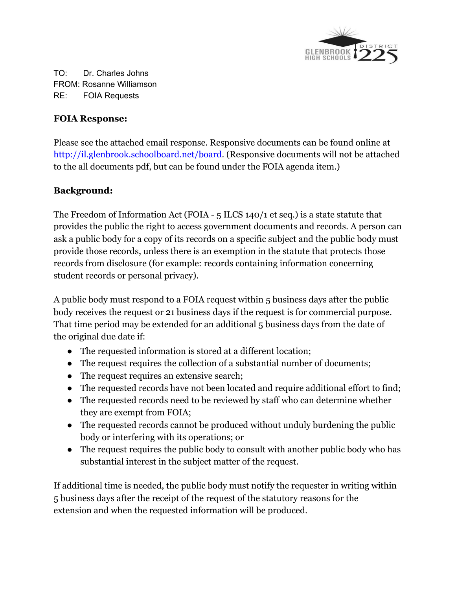

TO: Dr. Charles Johns FROM: Rosanne Williamson RE: FOIA Requests

## **FOIA Response:**

Please see the attached email response. Responsive documents can be found online at http://il.glenbrook.schoolboard.net/board. (Responsive documents will not be attached to the all documents pdf, but can be found under the FOIA agenda item.)

## **Background:**

The Freedom of Information Act (FOIA - 5 ILCS 140/1 et seq.) is a state statute that provides the public the right to access government documents and records. A person can ask a public body for a copy of its records on a specific subject and the public body must provide those records, unless there is an exemption in the statute that protects those records from disclosure (for example: records containing information concerning student records or personal privacy).

A public body must respond to a FOIA request within 5 business days after the public body receives the request or 21 business days if the request is for commercial purpose. That time period may be extended for an additional 5 business days from the date of the original due date if:

- The requested information is stored at a different location;
- The request requires the collection of a substantial number of documents;
- The request requires an extensive search;
- The requested records have not been located and require additional effort to find;
- The requested records need to be reviewed by staff who can determine whether they are exempt from FOIA;
- The requested records cannot be produced without unduly burdening the public body or interfering with its operations; or
- The request requires the public body to consult with another public body who has substantial interest in the subject matter of the request.

If additional time is needed, the public body must notify the requester in writing within 5 business days after the receipt of the request of the statutory reasons for the extension and when the requested information will be produced.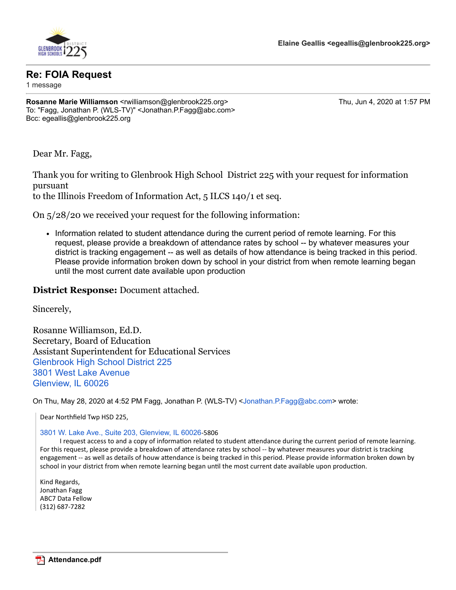

## **Re: FOIA Request**

1 message

**Rosanne Marie Williamson <rwilliamson@glenbrook225.org>** Thu, Jun 4, 2020 at 1:57 PM To: "Fagg, Jonathan P. (WLS-TV)" <Jonathan.P.Fagg@abc.com> Bcc: egeallis@glenbrook225.org

Dear Mr. Fagg,

Thank you for writing to Glenbrook High School District 225 with your request for information pursuant

to the Illinois Freedom of Information Act, 5 ILCS 140/1 et seq.

On 5/28/20 we received your request for the following information:

• Information related to student attendance during the current period of remote learning. For this request, please provide a breakdown of attendance rates by school -- by whatever measures your district is tracking engagement -- as well as details of how attendance is being tracked in this period. Please provide information broken down by school in your district from when remote learning began until the most current date available upon production

## **District Response:** Document attached.

Sincerely,

Rosanne Williamson, Ed.D. Secretary, Board of Education Assistant Superintendent for Educational Services [Glenbrook High School District 225](https://www.google.com/maps/search/Glenbrook+High+School+District+225+3801+West+Lake+Avenue+Glenview,+IL+60026?entry=gmail&source=g) [3801 West Lake Avenue](https://www.google.com/maps/search/Glenbrook+High+School+District+225+3801+West+Lake+Avenue+Glenview,+IL+60026?entry=gmail&source=g) [Glenview, IL 60026](https://www.google.com/maps/search/Glenbrook+High+School+District+225+3801+West+Lake+Avenue+Glenview,+IL+60026?entry=gmail&source=g)

On Thu, May 28, 2020 at 4:52 PM Fagg, Jonathan P. (WLS-TV) <[Jonathan.P.Fagg@abc.com](mailto:Jonathan.P.Fagg@abc.com)> wrote:

Dear Northfield Twp HSD 225,

[3801 W. Lake Ave., Suite 203, Glenview, IL 60026](https://www.google.com/maps/search/3801+W.+Lake+Ave.,+Suite+203,+Glenview,+IL+60026?entry=gmail&source=g)-5806

I request access to and a copy of information related to student attendance during the current period of remote learning. For this request, please provide a breakdown of attendance rates by school -- by whatever measures your district is tracking engagement -- as well as details of houw attendance is being tracked in this period. Please provide information broken down by school in your district from when remote learning began until the most current date available upon production.

Kind Regards, Jonathan Fagg ABC7 Data Fellow (312) 687-7282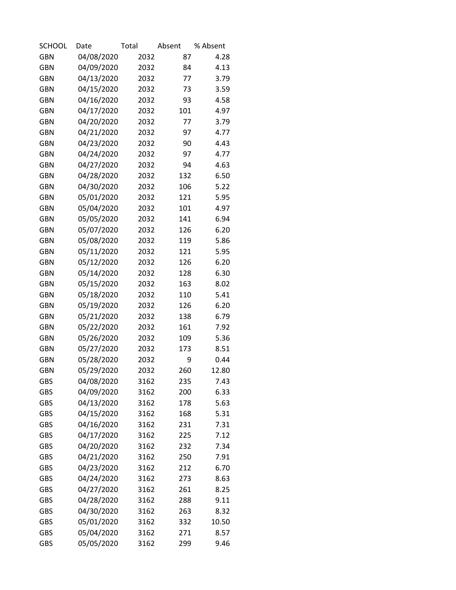| <b>SCHOOL</b> | Date       | Total | Absent | % Absent |
|---------------|------------|-------|--------|----------|
| <b>GBN</b>    | 04/08/2020 | 2032  | 87     | 4.28     |
| <b>GBN</b>    | 04/09/2020 | 2032  | 84     | 4.13     |
| <b>GBN</b>    | 04/13/2020 | 2032  | 77     | 3.79     |
| <b>GBN</b>    | 04/15/2020 | 2032  | 73     | 3.59     |
| <b>GBN</b>    | 04/16/2020 | 2032  | 93     | 4.58     |
| <b>GBN</b>    | 04/17/2020 | 2032  | 101    | 4.97     |
| <b>GBN</b>    | 04/20/2020 | 2032  | 77     | 3.79     |
| <b>GBN</b>    | 04/21/2020 | 2032  | 97     | 4.77     |
| <b>GBN</b>    | 04/23/2020 | 2032  | 90     | 4.43     |
| <b>GBN</b>    | 04/24/2020 | 2032  | 97     | 4.77     |
| <b>GBN</b>    | 04/27/2020 | 2032  | 94     | 4.63     |
| <b>GBN</b>    | 04/28/2020 | 2032  | 132    | 6.50     |
| <b>GBN</b>    | 04/30/2020 | 2032  | 106    | 5.22     |
| <b>GBN</b>    | 05/01/2020 | 2032  | 121    | 5.95     |
| <b>GBN</b>    | 05/04/2020 | 2032  | 101    | 4.97     |
| <b>GBN</b>    | 05/05/2020 | 2032  | 141    | 6.94     |
| <b>GBN</b>    | 05/07/2020 | 2032  | 126    | 6.20     |
| <b>GBN</b>    | 05/08/2020 | 2032  | 119    | 5.86     |
| <b>GBN</b>    | 05/11/2020 | 2032  | 121    | 5.95     |
| <b>GBN</b>    | 05/12/2020 | 2032  | 126    | 6.20     |
| <b>GBN</b>    | 05/14/2020 | 2032  | 128    | 6.30     |
| <b>GBN</b>    | 05/15/2020 | 2032  | 163    | 8.02     |
| <b>GBN</b>    | 05/18/2020 | 2032  | 110    | 5.41     |
| <b>GBN</b>    | 05/19/2020 | 2032  | 126    | 6.20     |
| <b>GBN</b>    | 05/21/2020 | 2032  | 138    | 6.79     |
| <b>GBN</b>    | 05/22/2020 | 2032  | 161    | 7.92     |
| <b>GBN</b>    | 05/26/2020 | 2032  | 109    | 5.36     |
| <b>GBN</b>    | 05/27/2020 | 2032  | 173    | 8.51     |
| <b>GBN</b>    | 05/28/2020 | 2032  | 9      | 0.44     |
| <b>GBN</b>    | 05/29/2020 | 2032  | 260    | 12.80    |
| <b>GBS</b>    | 04/08/2020 | 3162  | 235    | 7.43     |
| <b>GBS</b>    | 04/09/2020 | 3162  | 200    | 6.33     |
| <b>GBS</b>    | 04/13/2020 | 3162  | 178    | 5.63     |
| <b>GBS</b>    | 04/15/2020 | 3162  | 168    | 5.31     |
| <b>GBS</b>    | 04/16/2020 | 3162  | 231    | 7.31     |
| <b>GBS</b>    | 04/17/2020 | 3162  | 225    | 7.12     |
| <b>GBS</b>    | 04/20/2020 | 3162  | 232    | 7.34     |
| <b>GBS</b>    | 04/21/2020 | 3162  | 250    | 7.91     |
| <b>GBS</b>    | 04/23/2020 | 3162  | 212    | 6.70     |
| <b>GBS</b>    | 04/24/2020 | 3162  | 273    | 8.63     |
| <b>GBS</b>    | 04/27/2020 | 3162  | 261    | 8.25     |
| GBS           | 04/28/2020 | 3162  | 288    | 9.11     |
| <b>GBS</b>    | 04/30/2020 | 3162  | 263    | 8.32     |
| <b>GBS</b>    | 05/01/2020 | 3162  | 332    | 10.50    |
| <b>GBS</b>    | 05/04/2020 | 3162  | 271    | 8.57     |
| <b>GBS</b>    | 05/05/2020 | 3162  | 299    | 9.46     |